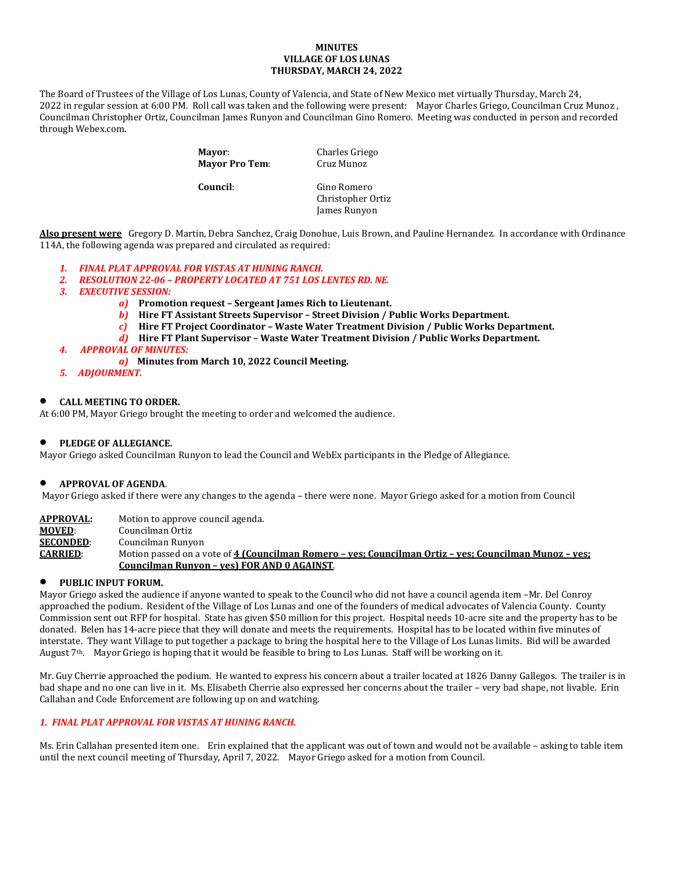## **MINUTES VILLAGE OF LOS LUNAS THURSDAY, MARCH 24, 2022**

The Board of Trustees of the Village of Los Lunas, County of Valencia, and State of New Mexico met virtually Thursday, March 24, 2022 in regular session at 6:00 PM. Roll call was taken and the following were present: Mayor Charles Griego, Councilman Cruz Munoz , Councilman Christopher Ortiz, Councilman James Runyon and Councilman Gino Romero. Meeting was conducted in person and recorded through Webex.com.

> **Mayor:** Charles Griego<br> **Mayor Pro Tem:** Cruz Munoz **Mayor Pro Tem: Council**: Gino Romero Christopher Ortiz James Runyon

**Also present were** Gregory D. Martin, Debra Sanchez, Craig Donohue, Luis Brown, and Pauline Hernandez. In accordance with Ordinance 114A, the following agenda was prepared and circulated as required:

- *1. FINAL PLAT APPROVAL FOR VISTAS AT HUNING RANCH.*
- *2. RESOLUTION 22-06 – PROPERTY LOCATED AT 751 LOS LENTES RD. NE.*
- *3. EXECUTIVE SESSION:*
	- *a)* **Promotion request – Sergeant James Rich to Lieutenant.**
	- *b)* **Hire FT Assistant Streets Supervisor – Street Division / Public Works Department.**
	- *c)* **Hire FT Project Coordinator – Waste Water Treatment Division / Public Works Department.**
	- *d)* **Hire FT Plant Supervisor – Waste Water Treatment Division / Public Works Department.**
- *4. APPROVAL OF MINUTES:*
- *a)* **Minutes from March 10, 2022 Council Meeting.**
- *5. ADJOURMENT.*

#### • **CALL MEETING TO ORDER.**

At 6:00 PM, Mayor Griego brought the meeting to order and welcomed the audience.

## • **PLEDGE OF ALLEGIANCE.**

Mayor Griego asked Councilman Runyon to lead the Council and WebEx participants in the Pledge of Allegiance.

#### • **APPROVAL OF AGENDA**.

Mayor Griego asked if there were any changes to the agenda – there were none. Mayor Griego asked for a motion from Council

**APPROVAL:** Motion to approve council agenda.

- **MOVED:** Councilman Ortiz<br>**SECONDED:** Councilman Runyo
- **SECONDED:** Councilman Runyon<br>**CARRIED:** Motion passed on a v

**CARRIED**: Motion passed on a vote of **4 (Councilman Romero – yes; Councilman Ortiz – yes; Councilman Munoz – yes; Councilman Runyon – yes) FOR AND 0 AGAINST**.

# • **PUBLIC INPUT FORUM.**

Mayor Griego asked the audience if anyone wanted to speak to the Council who did not have a council agenda item –Mr. Del Conroy approached the podium. Resident of the Village of Los Lunas and one of the founders of medical advocates of Valencia County. County Commission sent out RFP for hospital. State has given \$50 million for this project. Hospital needs 10-acre site and the property has to be donated. Belen has 14-acre piece that they will donate and meets the requirements. Hospital has to be located within five minutes of interstate. They want Village to put together a package to bring the hospital here to the Village of Los Lunas limits. Bid will be awarded August 7th. Mayor Griego is hoping that it would be feasible to bring to Los Lunas. Staff will be working on it.

Mr. Guy Cherrie approached the podium. He wanted to express his concern about a trailer located at 1826 Danny Gallegos. The trailer is in bad shape and no one can live in it. Ms. Elisabeth Cherrie also expressed her concerns about the trailer – very bad shape, not livable. Erin Callahan and Code Enforcement are following up on and watching.

# *1. FINAL PLAT APPROVAL FOR VISTAS AT HUNING RANCH.*

Ms. Erin Callahan presented item one. Erin explained that the applicant was out of town and would not be available – asking to table item until the next council meeting of Thursday, April 7, 2022. Mayor Griego asked for a motion from Council.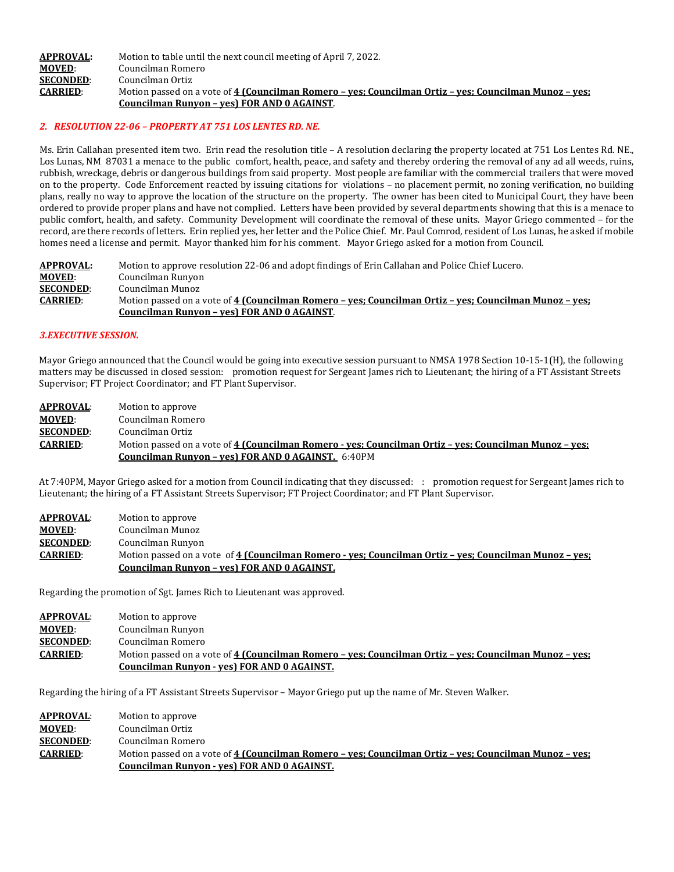### **APPROVAL:** Motion to table until the next council meeting of April 7, 2022.<br>**MOVED**: Councilman Romero **MOVED:** Councilman Romero<br>**SECONDED:** Councilman Ortiz **SECONDED:** Councilman Ortiz<br>**CARRIED:** Motion passed on **CARRIED**: Motion passed on a vote of **4 (Councilman Romero – yes; Councilman Ortiz – yes; Councilman Munoz – yes; Councilman Runyon – yes) FOR AND 0 AGAINST**.

## *2. RESOLUTION 22-06 – PROPERTY AT 751 LOS LENTES RD. NE.*

Ms. Erin Callahan presented item two. Erin read the resolution title – A resolution declaring the property located at 751 Los Lentes Rd. NE., Los Lunas, NM 87031 a menace to the public comfort, health, peace, and safety and thereby ordering the removal of any ad all weeds, ruins, rubbish, wreckage, debris or dangerous buildings from said property. Most people are familiar with the commercial trailers that were moved on to the property. Code Enforcement reacted by issuing citations for violations – no placement permit, no zoning verification, no building plans, really no way to approve the location of the structure on the property. The owner has been cited to Municipal Court, they have been ordered to provide proper plans and have not complied. Letters have been provided by several departments showing that this is a menace to public comfort, health, and safety. Community Development will coordinate the removal of these units. Mayor Griego commented – for the record, are there records of letters. Erin replied yes, her letter and the Police Chief. Mr. Paul Comrod, resident of Los Lunas, he asked if mobile homes need a license and permit. Mayor thanked him for his comment. Mayor Griego asked for a motion from Council.

| <b>APPROVAL:</b> | Motion to approve resolution 22-06 and adopt findings of Erin Callahan and Police Chief Lucero.        |
|------------------|--------------------------------------------------------------------------------------------------------|
| <b>MOVED:</b>    | Councilman Runyon                                                                                      |
| <b>SECONDED:</b> | Councilman Munoz                                                                                       |
| <b>CARRIED:</b>  | Motion passed on a vote of 4 (Councilman Romero – ves: Councilman Ortiz – ves: Councilman Munoz – ves: |
|                  | Councilman Runyon - yes) FOR AND 0 AGAINST.                                                            |

## *3.EXECUTIVE SESSION.*

Mayor Griego announced that the Council would be going into executive session pursuant to NMSA 1978 Section 10-15-1(H), the following matters may be discussed in closed session: promotion request for Sergeant James rich to Lieutenant; the hiring of a FT Assistant Streets Supervisor; FT Project Coordinator; and FT Plant Supervisor.

| <b>APPROVAL:</b> | Motion to approve                                                                                      |
|------------------|--------------------------------------------------------------------------------------------------------|
| <b>MOVED:</b>    | Councilman Romero                                                                                      |
| <b>SECONDED:</b> | Councilman Ortiz                                                                                       |
| <b>CARRIED:</b>  | Motion passed on a vote of 4 (Councilman Romero - yes; Councilman Ortiz - yes; Councilman Munoz - yes; |
|                  | <b>Councilman Runyon - ves) FOR AND 0 AGAINST.</b> 6:40PM                                              |

At 7:40PM, Mayor Griego asked for a motion from Council indicating that they discussed: : promotion request for Sergeant James rich to Lieutenant; the hiring of a FT Assistant Streets Supervisor; FT Project Coordinator; and FT Plant Supervisor.

| <b>APPROVAL:</b> | Motion to approve                                                                                      |
|------------------|--------------------------------------------------------------------------------------------------------|
| <b>MOVED:</b>    | Councilman Munoz                                                                                       |
| <b>SECONDED:</b> | Councilman Runyon                                                                                      |
| <b>CARRIED:</b>  | Motion passed on a vote of 4 (Councilman Romero - yes; Councilman Ortiz – yes; Councilman Munoz – yes; |
|                  | Councilman Runyon - yes) FOR AND 0 AGAINST.                                                            |

Regarding the promotion of Sgt. James Rich to Lieutenant was approved.

| <b>APPROVAL:</b> | Motion to approve                                                                                      |
|------------------|--------------------------------------------------------------------------------------------------------|
| <b>MOVED:</b>    | Councilman Runyon                                                                                      |
| <b>SECONDED:</b> | Councilman Romero                                                                                      |
| <b>CARRIED:</b>  | Motion passed on a vote of 4 (Councilman Romero – ves; Councilman Ortiz – ves; Councilman Munoz – ves; |
|                  | Councilman Runyon - yes) FOR AND 0 AGAINST.                                                            |

Regarding the hiring of a FT Assistant Streets Supervisor – Mayor Griego put up the name of Mr. Steven Walker.

| APPROVAL:        | Motion to approve                                                                                      |
|------------------|--------------------------------------------------------------------------------------------------------|
| <b>MOVED:</b>    | Councilman Ortiz                                                                                       |
| <b>SECONDED:</b> | Councilman Romero                                                                                      |
| <b>CARRIED:</b>  | Motion passed on a vote of 4 (Councilman Romero – yes; Councilman Ortiz – yes; Councilman Munoz – yes; |
|                  | Councilman Runyon - yes) FOR AND 0 AGAINST.                                                            |